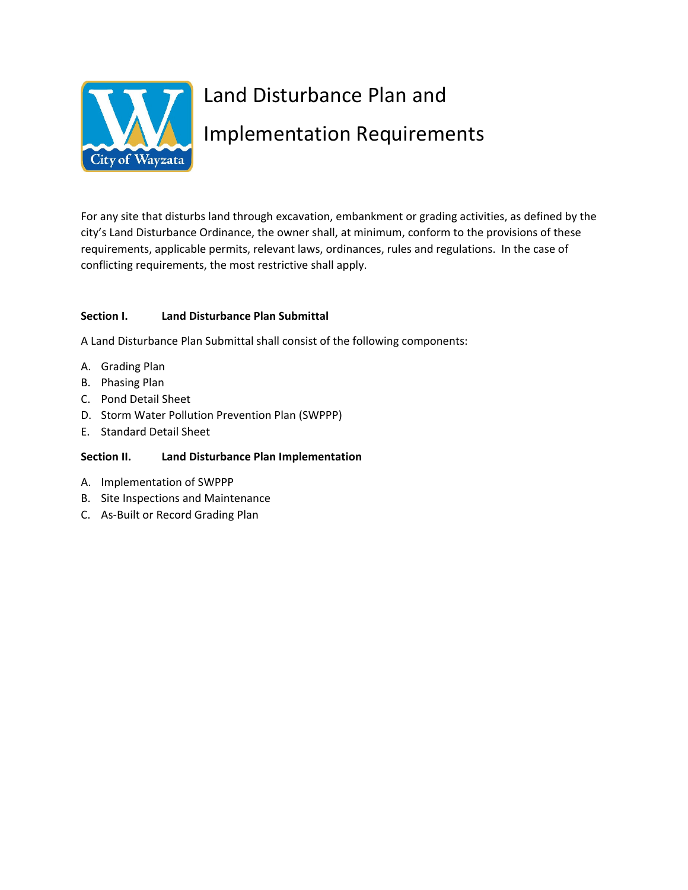

# Land Disturbance Plan and Implementation Requirements

For any site that disturbs land through excavation, embankment or grading activities, as defined by the city's Land Disturbance Ordinance, the owner shall, at minimum, conform to the provisions of these requirements, applicable permits, relevant laws, ordinances, rules and regulations. In the case of conflicting requirements, the most restrictive shall apply.

# **Section I. Land Disturbance Plan Submittal**

A Land Disturbance Plan Submittal shall consist of the following components:

- A. Grading Plan
- B. Phasing Plan
- C. Pond Detail Sheet
- D. Storm Water Pollution Prevention Plan (SWPPP)
- E. Standard Detail Sheet

# **Section II. Land Disturbance Plan Implementation**

- A. Implementation of SWPPP
- B. Site Inspections and Maintenance
- C. As‐Built or Record Grading Plan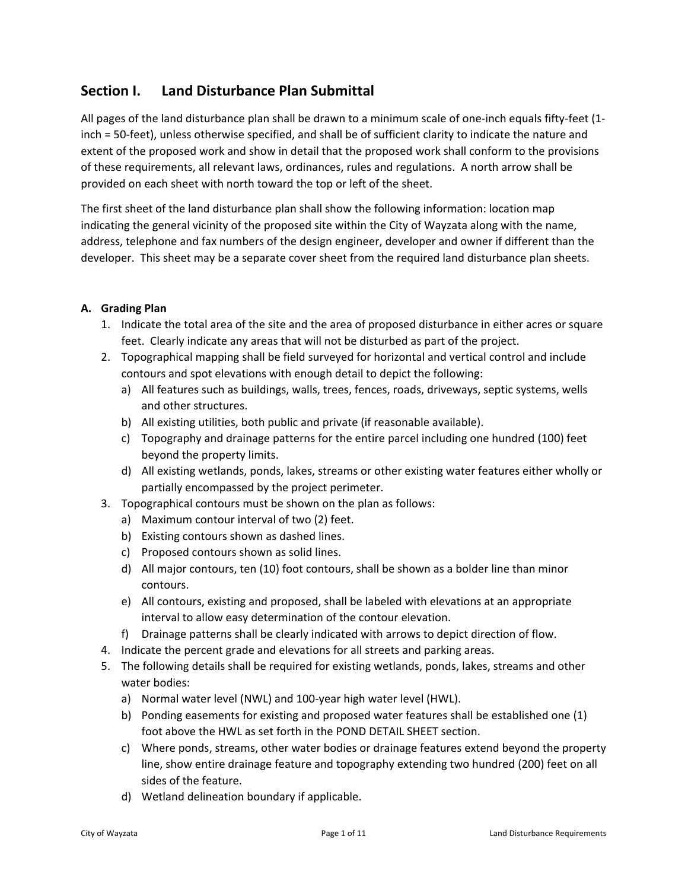# **Section I. Land Disturbance Plan Submittal**

All pages of the land disturbance plan shall be drawn to a minimum scale of one‐inch equals fifty‐feet (1‐ inch = 50‐feet), unless otherwise specified, and shall be of sufficient clarity to indicate the nature and extent of the proposed work and show in detail that the proposed work shall conform to the provisions of these requirements, all relevant laws, ordinances, rules and regulations. A north arrow shall be provided on each sheet with north toward the top or left of the sheet.

The first sheet of the land disturbance plan shall show the following information: location map indicating the general vicinity of the proposed site within the City of Wayzata along with the name, address, telephone and fax numbers of the design engineer, developer and owner if different than the developer. This sheet may be a separate cover sheet from the required land disturbance plan sheets.

#### **A. Grading Plan**

- 1. Indicate the total area of the site and the area of proposed disturbance in either acres or square feet. Clearly indicate any areas that will not be disturbed as part of the project.
- 2. Topographical mapping shall be field surveyed for horizontal and vertical control and include contours and spot elevations with enough detail to depict the following:
	- a) All features such as buildings, walls, trees, fences, roads, driveways, septic systems, wells and other structures.
	- b) All existing utilities, both public and private (if reasonable available).
	- c) Topography and drainage patterns for the entire parcel including one hundred (100) feet beyond the property limits.
	- d) All existing wetlands, ponds, lakes, streams or other existing water features either wholly or partially encompassed by the project perimeter.
- 3. Topographical contours must be shown on the plan as follows:
	- a) Maximum contour interval of two (2) feet.
	- b) Existing contours shown as dashed lines.
	- c) Proposed contours shown as solid lines.
	- d) All major contours, ten (10) foot contours, shall be shown as a bolder line than minor contours.
	- e) All contours, existing and proposed, shall be labeled with elevations at an appropriate interval to allow easy determination of the contour elevation.
	- f) Drainage patterns shall be clearly indicated with arrows to depict direction of flow.
- 4. Indicate the percent grade and elevations for all streets and parking areas.
- 5. The following details shall be required for existing wetlands, ponds, lakes, streams and other water bodies:
	- a) Normal water level (NWL) and 100‐year high water level (HWL).
	- b) Ponding easements for existing and proposed water features shall be established one (1) foot above the HWL as set forth in the POND DETAIL SHEET section.
	- c) Where ponds, streams, other water bodies or drainage features extend beyond the property line, show entire drainage feature and topography extending two hundred (200) feet on all sides of the feature.
	- d) Wetland delineation boundary if applicable.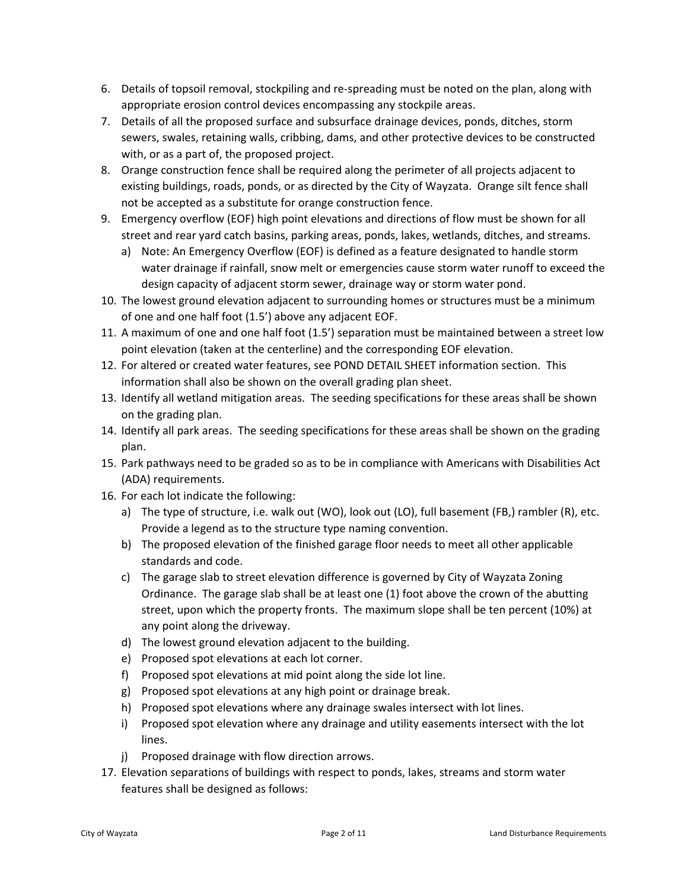- 6. Details of topsoil removal, stockpiling and re‐spreading must be noted on the plan, along with appropriate erosion control devices encompassing any stockpile areas.
- 7. Details of all the proposed surface and subsurface drainage devices, ponds, ditches, storm sewers, swales, retaining walls, cribbing, dams, and other protective devices to be constructed with, or as a part of, the proposed project.
- 8. Orange construction fence shall be required along the perimeter of all projects adjacent to existing buildings, roads, ponds, or as directed by the City of Wayzata. Orange silt fence shall not be accepted as a substitute for orange construction fence.
- 9. Emergency overflow (EOF) high point elevations and directions of flow must be shown for all street and rear yard catch basins, parking areas, ponds, lakes, wetlands, ditches, and streams.
	- a) Note: An Emergency Overflow (EOF) is defined as a feature designated to handle storm water drainage if rainfall, snow melt or emergencies cause storm water runoff to exceed the design capacity of adjacent storm sewer, drainage way or storm water pond.
- 10. The lowest ground elevation adjacent to surrounding homes or structures must be a minimum of one and one half foot (1.5') above any adjacent EOF.
- 11. A maximum of one and one half foot (1.5') separation must be maintained between a street low point elevation (taken at the centerline) and the corresponding EOF elevation.
- 12. For altered or created water features, see POND DETAIL SHEET information section. This information shall also be shown on the overall grading plan sheet.
- 13. Identify all wetland mitigation areas. The seeding specifications for these areas shall be shown on the grading plan.
- 14. Identify all park areas. The seeding specifications for these areas shall be shown on the grading plan.
- 15. Park pathways need to be graded so as to be in compliance with Americans with Disabilities Act (ADA) requirements.
- 16. For each lot indicate the following:
	- a) The type of structure, i.e. walk out (WO), look out (LO), full basement (FB,) rambler (R), etc. Provide a legend as to the structure type naming convention.
	- b) The proposed elevation of the finished garage floor needs to meet all other applicable standards and code.
	- c) The garage slab to street elevation difference is governed by City of Wayzata Zoning Ordinance. The garage slab shall be at least one (1) foot above the crown of the abutting street, upon which the property fronts. The maximum slope shall be ten percent (10%) at any point along the driveway.
	- d) The lowest ground elevation adjacent to the building.
	- e) Proposed spot elevations at each lot corner.
	- f) Proposed spot elevations at mid point along the side lot line.
	- g) Proposed spot elevations at any high point or drainage break.
	- h) Proposed spot elevations where any drainage swales intersect with lot lines.
	- i) Proposed spot elevation where any drainage and utility easements intersect with the lot lines.
	- j) Proposed drainage with flow direction arrows.
- 17. Elevation separations of buildings with respect to ponds, lakes, streams and storm water features shall be designed as follows: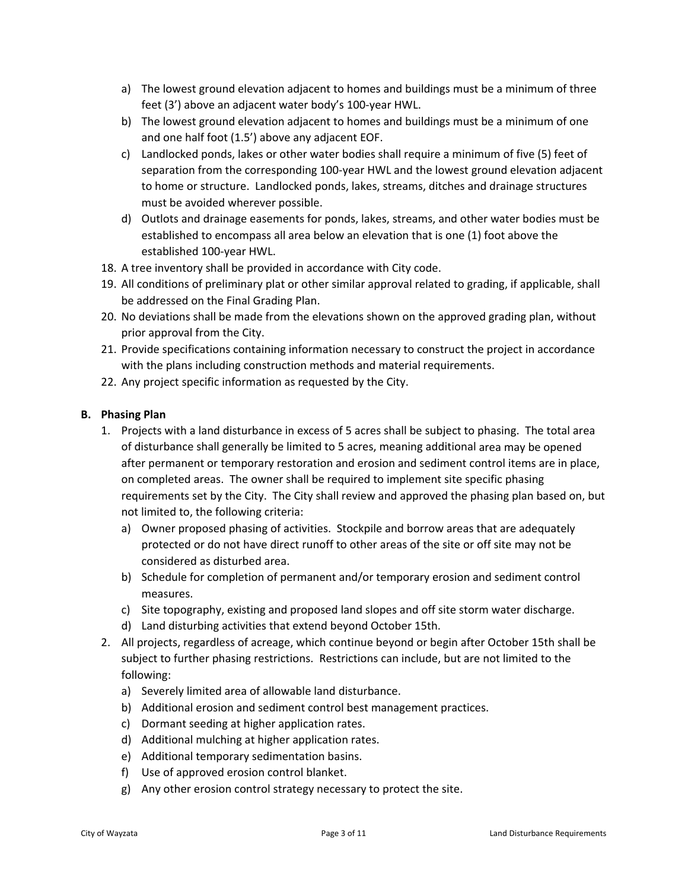- a) The lowest ground elevation adjacent to homes and buildings must be a minimum of three feet (3') above an adjacent water body's 100‐year HWL.
- b) The lowest ground elevation adjacent to homes and buildings must be a minimum of one and one half foot (1.5') above any adjacent EOF.
- c) Landlocked ponds, lakes or other water bodies shall require a minimum of five (5) feet of separation from the corresponding 100-year HWL and the lowest ground elevation adjacent to home or structure. Landlocked ponds, lakes, streams, ditches and drainage structures must be avoided wherever possible.
- d) Outlots and drainage easements for ponds, lakes, streams, and other water bodies must be established to encompass all area below an elevation that is one (1) foot above the established 100‐year HWL.
- 18. A tree inventory shall be provided in accordance with City code.
- 19. All conditions of preliminary plat or other similar approval related to grading, if applicable, shall be addressed on the Final Grading Plan.
- 20. No deviations shall be made from the elevations shown on the approved grading plan, without prior approval from the City.
- 21. Provide specifications containing information necessary to construct the project in accordance with the plans including construction methods and material requirements.
- 22. Any project specific information as requested by the City.

#### **B. Phasing Plan**

- 1. Projects with a land disturbance in excess of 5 acres shall be subject to phasing. The total area of disturbance shall generally be limited to 5 acres, meaning additional area may be opened after permanent or temporary restoration and erosion and sediment control items are in place, on completed areas. The owner shall be required to implement site specific phasing requirements set by the City. The City shall review and approved the phasing plan based on, but not limited to, the following criteria:
	- a) Owner proposed phasing of activities. Stockpile and borrow areas that are adequately protected or do not have direct runoff to other areas of the site or off site may not be considered as disturbed area.
	- b) Schedule for completion of permanent and/or temporary erosion and sediment control measures.
	- c) Site topography, existing and proposed land slopes and off site storm water discharge.
	- d) Land disturbing activities that extend beyond October 15th.
- 2. All projects, regardless of acreage, which continue beyond or begin after October 15th shall be subject to further phasing restrictions. Restrictions can include, but are not limited to the following:
	- a) Severely limited area of allowable land disturbance.
	- b) Additional erosion and sediment control best management practices.
	- c) Dormant seeding at higher application rates.
	- d) Additional mulching at higher application rates.
	- e) Additional temporary sedimentation basins.
	- f) Use of approved erosion control blanket.
	- g) Any other erosion control strategy necessary to protect the site.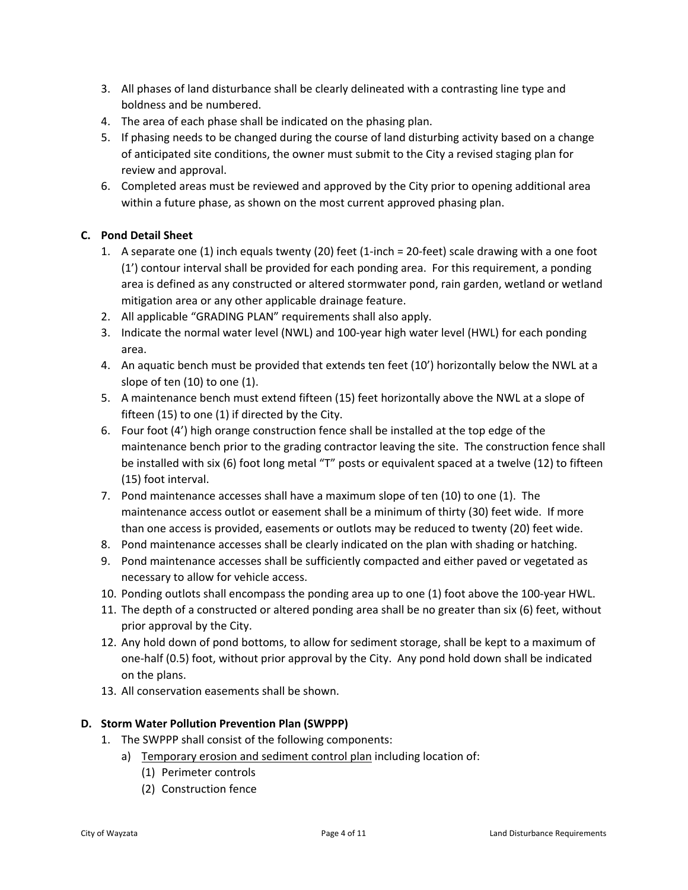- 3. All phases of land disturbance shall be clearly delineated with a contrasting line type and boldness and be numbered.
- 4. The area of each phase shall be indicated on the phasing plan.
- 5. If phasing needs to be changed during the course of land disturbing activity based on a change of anticipated site conditions, the owner must submit to the City a revised staging plan for review and approval.
- 6. Completed areas must be reviewed and approved by the City prior to opening additional area within a future phase, as shown on the most current approved phasing plan.

# **C. Pond Detail Sheet**

- 1. A separate one (1) inch equals twenty (20) feet (1‐inch = 20‐feet) scale drawing with a one foot (1') contour interval shall be provided for each ponding area. For this requirement, a ponding area is defined as any constructed or altered stormwater pond, rain garden, wetland or wetland mitigation area or any other applicable drainage feature.
- 2. All applicable "GRADING PLAN" requirements shall also apply.
- 3. Indicate the normal water level (NWL) and 100‐year high water level (HWL) for each ponding area.
- 4. An aquatic bench must be provided that extends ten feet (10') horizontally below the NWL at a slope of ten (10) to one (1).
- 5. A maintenance bench must extend fifteen (15) feet horizontally above the NWL at a slope of fifteen (15) to one (1) if directed by the City.
- 6. Four foot (4') high orange construction fence shall be installed at the top edge of the maintenance bench prior to the grading contractor leaving the site. The construction fence shall be installed with six (6) foot long metal "T" posts or equivalent spaced at a twelve (12) to fifteen (15) foot interval.
- 7. Pond maintenance accesses shall have a maximum slope of ten (10) to one (1). The maintenance access outlot or easement shall be a minimum of thirty (30) feet wide. If more than one access is provided, easements or outlots may be reduced to twenty (20) feet wide.
- 8. Pond maintenance accesses shall be clearly indicated on the plan with shading or hatching.
- 9. Pond maintenance accesses shall be sufficiently compacted and either paved or vegetated as necessary to allow for vehicle access.
- 10. Ponding outlots shall encompass the ponding area up to one (1) foot above the 100‐year HWL.
- 11. The depth of a constructed or altered ponding area shall be no greater than six (6) feet, without prior approval by the City.
- 12. Any hold down of pond bottoms, to allow for sediment storage, shall be kept to a maximum of one‐half (0.5) foot, without prior approval by the City. Any pond hold down shall be indicated on the plans.
- 13. All conservation easements shall be shown.

#### **D. Storm Water Pollution Prevention Plan (SWPPP)**

- 1. The SWPPP shall consist of the following components:
	- a) Temporary erosion and sediment control plan including location of:
		- (1) Perimeter controls
		- (2) Construction fence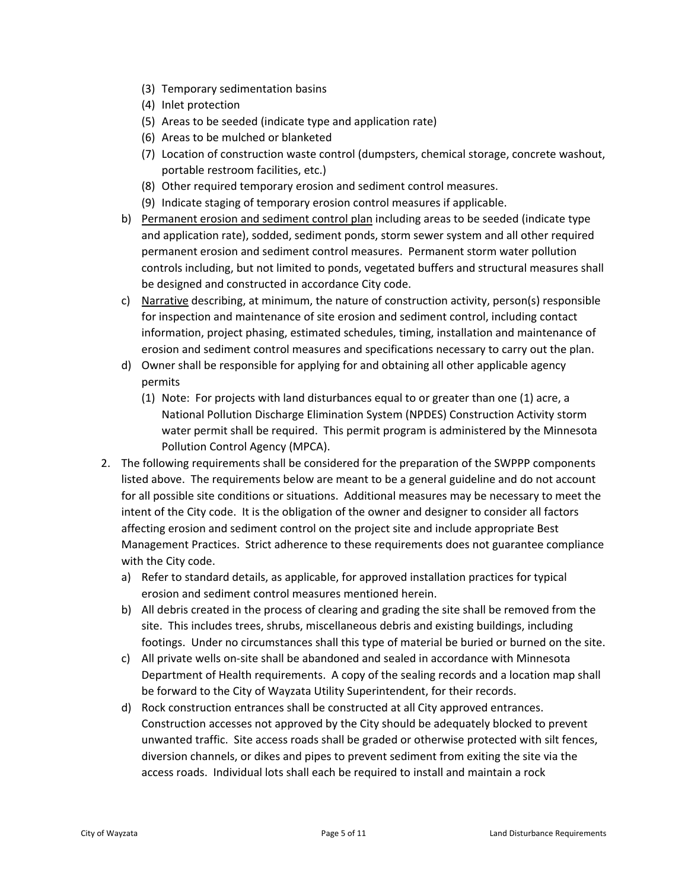- (3) Temporary sedimentation basins
- (4) Inlet protection
- (5) Areas to be seeded (indicate type and application rate)
- (6) Areas to be mulched or blanketed
- (7) Location of construction waste control (dumpsters, chemical storage, concrete washout, portable restroom facilities, etc.)
- (8) Other required temporary erosion and sediment control measures.
- (9) Indicate staging of temporary erosion control measures if applicable.
- b) Permanent erosion and sediment control plan including areas to be seeded (indicate type and application rate), sodded, sediment ponds, storm sewer system and all other required permanent erosion and sediment control measures. Permanent storm water pollution controls including, but not limited to ponds, vegetated buffers and structural measures shall be designed and constructed in accordance City code.
- c) Narrative describing, at minimum, the nature of construction activity, person(s) responsible for inspection and maintenance of site erosion and sediment control, including contact information, project phasing, estimated schedules, timing, installation and maintenance of erosion and sediment control measures and specifications necessary to carry out the plan.
- d) Owner shall be responsible for applying for and obtaining all other applicable agency permits
	- (1) Note: For projects with land disturbances equal to or greater than one (1) acre, a National Pollution Discharge Elimination System (NPDES) Construction Activity storm water permit shall be required. This permit program is administered by the Minnesota Pollution Control Agency (MPCA).
- 2. The following requirements shall be considered for the preparation of the SWPPP components listed above. The requirements below are meant to be a general guideline and do not account for all possible site conditions or situations. Additional measures may be necessary to meet the intent of the City code. It is the obligation of the owner and designer to consider all factors affecting erosion and sediment control on the project site and include appropriate Best Management Practices. Strict adherence to these requirements does not guarantee compliance with the City code.
	- a) Refer to standard details, as applicable, for approved installation practices for typical erosion and sediment control measures mentioned herein.
	- b) All debris created in the process of clearing and grading the site shall be removed from the site. This includes trees, shrubs, miscellaneous debris and existing buildings, including footings. Under no circumstances shall this type of material be buried or burned on the site.
	- c) All private wells on‐site shall be abandoned and sealed in accordance with Minnesota Department of Health requirements. A copy of the sealing records and a location map shall be forward to the City of Wayzata Utility Superintendent, for their records.
	- d) Rock construction entrances shall be constructed at all City approved entrances. Construction accesses not approved by the City should be adequately blocked to prevent unwanted traffic. Site access roads shall be graded or otherwise protected with silt fences, diversion channels, or dikes and pipes to prevent sediment from exiting the site via the access roads. Individual lots shall each be required to install and maintain a rock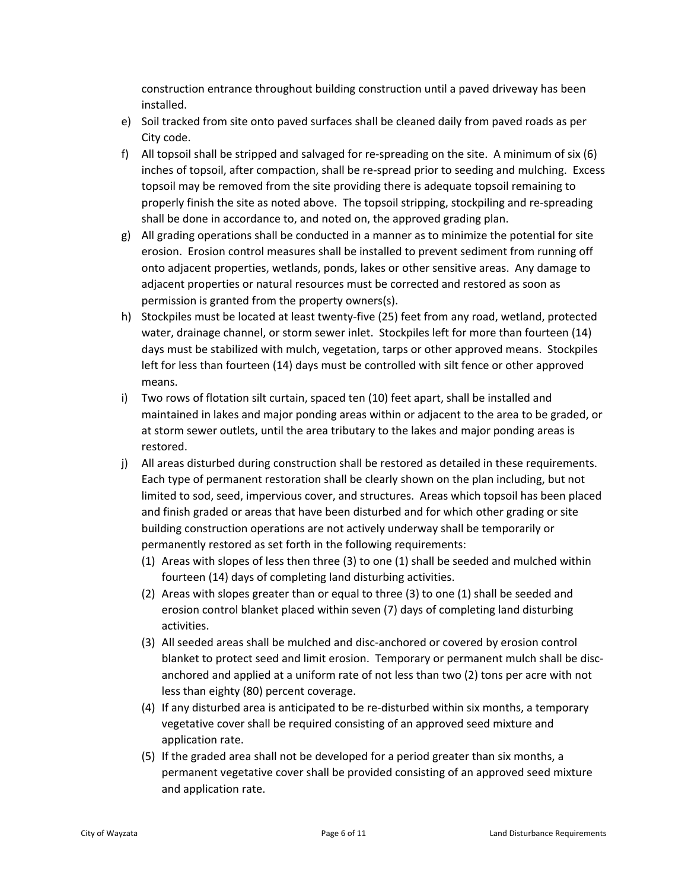construction entrance throughout building construction until a paved driveway has been installed.

- e) Soil tracked from site onto paved surfaces shall be cleaned daily from paved roads as per City code.
- f) All topsoil shall be stripped and salvaged for re-spreading on the site. A minimum of six (6) inches of topsoil, after compaction, shall be re‐spread prior to seeding and mulching. Excess topsoil may be removed from the site providing there is adequate topsoil remaining to properly finish the site as noted above. The topsoil stripping, stockpiling and re‐spreading shall be done in accordance to, and noted on, the approved grading plan.
- g) All grading operations shall be conducted in a manner as to minimize the potential for site erosion. Erosion control measures shall be installed to prevent sediment from running off onto adjacent properties, wetlands, ponds, lakes or other sensitive areas. Any damage to adjacent properties or natural resources must be corrected and restored as soon as permission is granted from the property owners(s).
- h) Stockpiles must be located at least twenty‐five (25) feet from any road, wetland, protected water, drainage channel, or storm sewer inlet. Stockpiles left for more than fourteen (14) days must be stabilized with mulch, vegetation, tarps or other approved means. Stockpiles left for less than fourteen (14) days must be controlled with silt fence or other approved means.
- i) Two rows of flotation silt curtain, spaced ten (10) feet apart, shall be installed and maintained in lakes and major ponding areas within or adjacent to the area to be graded, or at storm sewer outlets, until the area tributary to the lakes and major ponding areas is restored.
- j) All areas disturbed during construction shall be restored as detailed in these requirements. Each type of permanent restoration shall be clearly shown on the plan including, but not limited to sod, seed, impervious cover, and structures. Areas which topsoil has been placed and finish graded or areas that have been disturbed and for which other grading or site building construction operations are not actively underway shall be temporarily or permanently restored as set forth in the following requirements:
	- (1) Areas with slopes of less then three (3) to one (1) shall be seeded and mulched within fourteen (14) days of completing land disturbing activities.
	- (2) Areas with slopes greater than or equal to three (3) to one (1) shall be seeded and erosion control blanket placed within seven (7) days of completing land disturbing activities.
	- (3) All seeded areas shall be mulched and disc‐anchored or covered by erosion control blanket to protect seed and limit erosion. Temporary or permanent mulch shall be discanchored and applied at a uniform rate of not less than two (2) tons per acre with not less than eighty (80) percent coverage.
	- (4) If any disturbed area is anticipated to be re‐disturbed within six months, a temporary vegetative cover shall be required consisting of an approved seed mixture and application rate.
	- (5) If the graded area shall not be developed for a period greater than six months, a permanent vegetative cover shall be provided consisting of an approved seed mixture and application rate.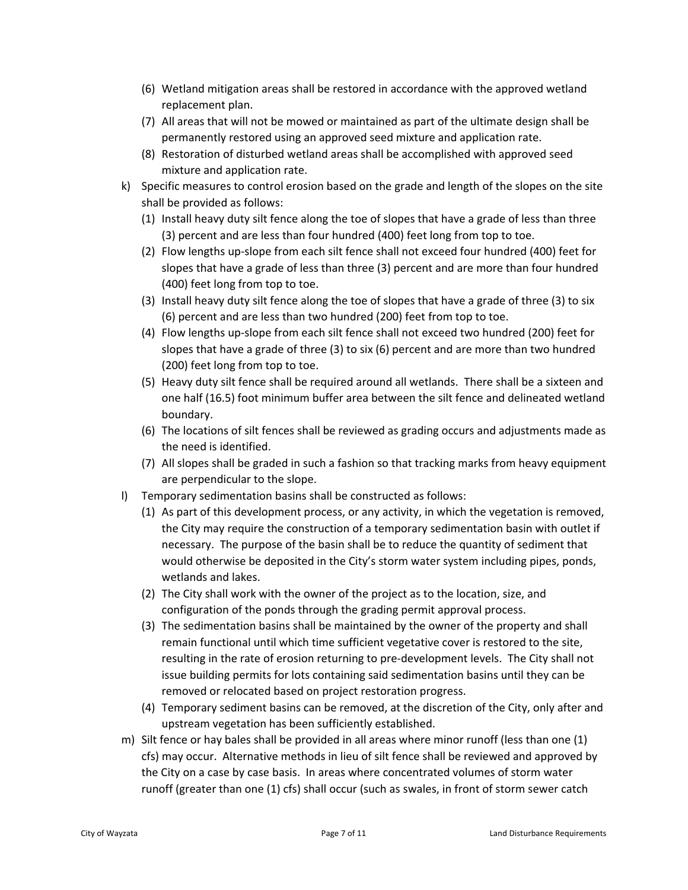- (6) Wetland mitigation areas shall be restored in accordance with the approved wetland replacement plan.
- (7) All areas that will not be mowed or maintained as part of the ultimate design shall be permanently restored using an approved seed mixture and application rate.
- (8) Restoration of disturbed wetland areas shall be accomplished with approved seed mixture and application rate.
- k) Specific measures to control erosion based on the grade and length of the slopes on the site shall be provided as follows:
	- (1) Install heavy duty silt fence along the toe of slopes that have a grade of less than three (3) percent and are less than four hundred (400) feet long from top to toe.
	- (2) Flow lengths up‐slope from each silt fence shall not exceed four hundred (400) feet for slopes that have a grade of less than three (3) percent and are more than four hundred (400) feet long from top to toe.
	- (3) Install heavy duty silt fence along the toe of slopes that have a grade of three (3) to six (6) percent and are less than two hundred (200) feet from top to toe.
	- (4) Flow lengths up‐slope from each silt fence shall not exceed two hundred (200) feet for slopes that have a grade of three (3) to six (6) percent and are more than two hundred (200) feet long from top to toe.
	- (5) Heavy duty silt fence shall be required around all wetlands. There shall be a sixteen and one half (16.5) foot minimum buffer area between the silt fence and delineated wetland boundary.
	- (6) The locations of silt fences shall be reviewed as grading occurs and adjustments made as the need is identified.
	- (7) All slopes shall be graded in such a fashion so that tracking marks from heavy equipment are perpendicular to the slope.
- l) Temporary sedimentation basins shall be constructed as follows:
	- (1) As part of this development process, or any activity, in which the vegetation is removed, the City may require the construction of a temporary sedimentation basin with outlet if necessary. The purpose of the basin shall be to reduce the quantity of sediment that would otherwise be deposited in the City's storm water system including pipes, ponds, wetlands and lakes.
	- (2) The City shall work with the owner of the project as to the location, size, and configuration of the ponds through the grading permit approval process.
	- (3) The sedimentation basins shall be maintained by the owner of the property and shall remain functional until which time sufficient vegetative cover is restored to the site, resulting in the rate of erosion returning to pre‐development levels. The City shall not issue building permits for lots containing said sedimentation basins until they can be removed or relocated based on project restoration progress.
	- (4) Temporary sediment basins can be removed, at the discretion of the City, only after and upstream vegetation has been sufficiently established.
- m) Silt fence or hay bales shall be provided in all areas where minor runoff (less than one (1) cfs) may occur. Alternative methods in lieu of silt fence shall be reviewed and approved by the City on a case by case basis. In areas where concentrated volumes of storm water runoff (greater than one (1) cfs) shall occur (such as swales, in front of storm sewer catch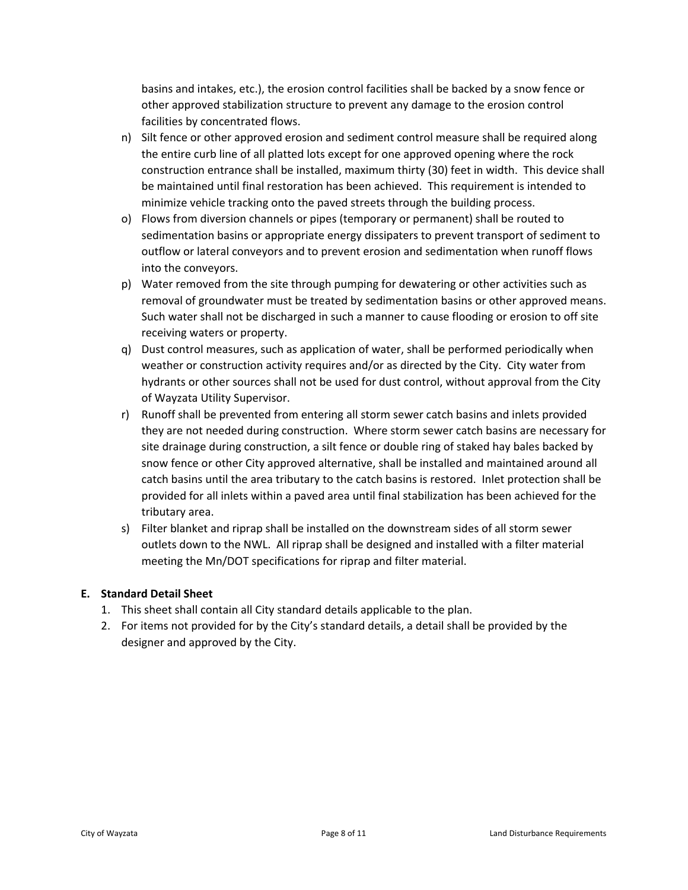basins and intakes, etc.), the erosion control facilities shall be backed by a snow fence or other approved stabilization structure to prevent any damage to the erosion control facilities by concentrated flows.

- n) Silt fence or other approved erosion and sediment control measure shall be required along the entire curb line of all platted lots except for one approved opening where the rock construction entrance shall be installed, maximum thirty (30) feet in width. This device shall be maintained until final restoration has been achieved. This requirement is intended to minimize vehicle tracking onto the paved streets through the building process.
- o) Flows from diversion channels or pipes (temporary or permanent) shall be routed to sedimentation basins or appropriate energy dissipaters to prevent transport of sediment to outflow or lateral conveyors and to prevent erosion and sedimentation when runoff flows into the conveyors.
- p) Water removed from the site through pumping for dewatering or other activities such as removal of groundwater must be treated by sedimentation basins or other approved means. Such water shall not be discharged in such a manner to cause flooding or erosion to off site receiving waters or property.
- q) Dust control measures, such as application of water, shall be performed periodically when weather or construction activity requires and/or as directed by the City. City water from hydrants or other sources shall not be used for dust control, without approval from the City of Wayzata Utility Supervisor.
- r) Runoff shall be prevented from entering all storm sewer catch basins and inlets provided they are not needed during construction. Where storm sewer catch basins are necessary for site drainage during construction, a silt fence or double ring of staked hay bales backed by snow fence or other City approved alternative, shall be installed and maintained around all catch basins until the area tributary to the catch basins is restored. Inlet protection shall be provided for all inlets within a paved area until final stabilization has been achieved for the tributary area.
- s) Filter blanket and riprap shall be installed on the downstream sides of all storm sewer outlets down to the NWL. All riprap shall be designed and installed with a filter material meeting the Mn/DOT specifications for riprap and filter material.

# **E. Standard Detail Sheet**

- 1. This sheet shall contain all City standard details applicable to the plan.
- 2. For items not provided for by the City's standard details, a detail shall be provided by the designer and approved by the City.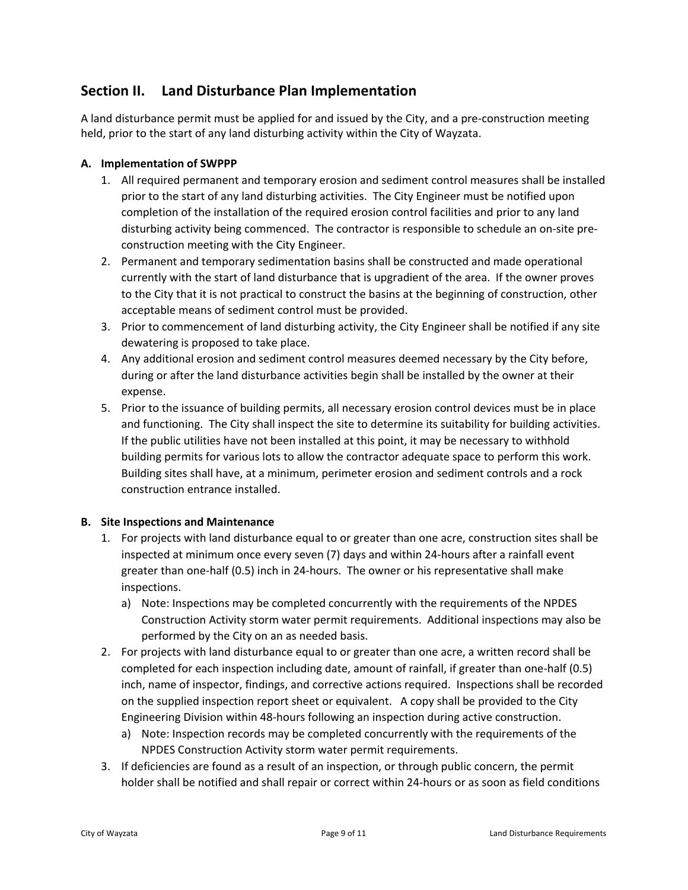# **Section II. Land Disturbance Plan Implementation**

A land disturbance permit must be applied for and issued by the City, and a pre‐construction meeting held, prior to the start of any land disturbing activity within the City of Wayzata.

# **A. Implementation of SWPPP**

- 1. All required permanent and temporary erosion and sediment control measures shall be installed prior to the start of any land disturbing activities. The City Engineer must be notified upon completion of the installation of the required erosion control facilities and prior to any land disturbing activity being commenced. The contractor is responsible to schedule an on-site preconstruction meeting with the City Engineer.
- 2. Permanent and temporary sedimentation basins shall be constructed and made operational currently with the start of land disturbance that is upgradient of the area. If the owner proves to the City that it is not practical to construct the basins at the beginning of construction, other acceptable means of sediment control must be provided.
- 3. Prior to commencement of land disturbing activity, the City Engineer shall be notified if any site dewatering is proposed to take place.
- 4. Any additional erosion and sediment control measures deemed necessary by the City before, during or after the land disturbance activities begin shall be installed by the owner at their expense.
- 5. Prior to the issuance of building permits, all necessary erosion control devices must be in place and functioning. The City shall inspect the site to determine its suitability for building activities. If the public utilities have not been installed at this point, it may be necessary to withhold building permits for various lots to allow the contractor adequate space to perform this work. Building sites shall have, at a minimum, perimeter erosion and sediment controls and a rock construction entrance installed.

#### **B. Site Inspections and Maintenance**

- 1. For projects with land disturbance equal to or greater than one acre, construction sites shall be inspected at minimum once every seven (7) days and within 24‐hours after a rainfall event greater than one‐half (0.5) inch in 24‐hours. The owner or his representative shall make inspections.
	- a) Note: Inspections may be completed concurrently with the requirements of the NPDES Construction Activity storm water permit requirements. Additional inspections may also be performed by the City on an as needed basis.
- 2. For projects with land disturbance equal to or greater than one acre, a written record shall be completed for each inspection including date, amount of rainfall, if greater than one‐half (0.5) inch, name of inspector, findings, and corrective actions required. Inspections shall be recorded on the supplied inspection report sheet or equivalent. A copy shall be provided to the City Engineering Division within 48‐hours following an inspection during active construction.
	- a) Note: Inspection records may be completed concurrently with the requirements of the NPDES Construction Activity storm water permit requirements.
- 3. If deficiencies are found as a result of an inspection, or through public concern, the permit holder shall be notified and shall repair or correct within 24‐hours or as soon as field conditions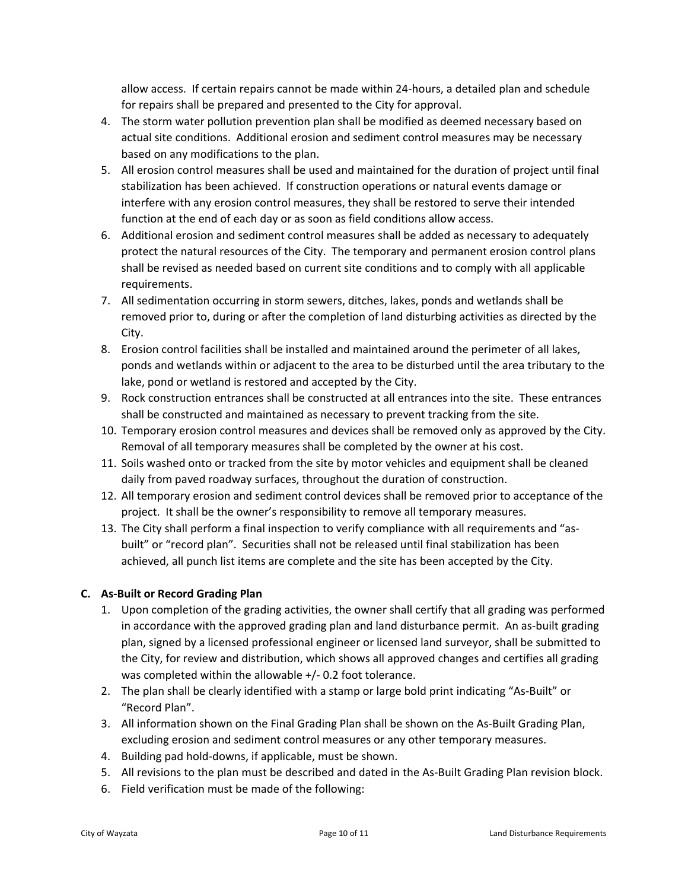allow access. If certain repairs cannot be made within 24‐hours, a detailed plan and schedule for repairs shall be prepared and presented to the City for approval.

- 4. The storm water pollution prevention plan shall be modified as deemed necessary based on actual site conditions. Additional erosion and sediment control measures may be necessary based on any modifications to the plan.
- 5. All erosion control measures shall be used and maintained for the duration of project until final stabilization has been achieved. If construction operations or natural events damage or interfere with any erosion control measures, they shall be restored to serve their intended function at the end of each day or as soon as field conditions allow access.
- 6. Additional erosion and sediment control measures shall be added as necessary to adequately protect the natural resources of the City. The temporary and permanent erosion control plans shall be revised as needed based on current site conditions and to comply with all applicable requirements.
- 7. All sedimentation occurring in storm sewers, ditches, lakes, ponds and wetlands shall be removed prior to, during or after the completion of land disturbing activities as directed by the City.
- 8. Erosion control facilities shall be installed and maintained around the perimeter of all lakes, ponds and wetlands within or adjacent to the area to be disturbed until the area tributary to the lake, pond or wetland is restored and accepted by the City.
- 9. Rock construction entrances shall be constructed at all entrances into the site. These entrances shall be constructed and maintained as necessary to prevent tracking from the site.
- 10. Temporary erosion control measures and devices shall be removed only as approved by the City. Removal of all temporary measures shall be completed by the owner at his cost.
- 11. Soils washed onto or tracked from the site by motor vehicles and equipment shall be cleaned daily from paved roadway surfaces, throughout the duration of construction.
- 12. All temporary erosion and sediment control devices shall be removed prior to acceptance of the project. It shall be the owner's responsibility to remove all temporary measures.
- 13. The City shall perform a final inspection to verify compliance with all requirements and "as‐ built" or "record plan". Securities shall not be released until final stabilization has been achieved, all punch list items are complete and the site has been accepted by the City.

# **C. As‐Built or Record Grading Plan**

- 1. Upon completion of the grading activities, the owner shall certify that all grading was performed in accordance with the approved grading plan and land disturbance permit. An as-built grading plan, signed by a licensed professional engineer or licensed land surveyor, shall be submitted to the City, for review and distribution, which shows all approved changes and certifies all grading was completed within the allowable +/- 0.2 foot tolerance.
- 2. The plan shall be clearly identified with a stamp or large bold print indicating "As‐Built" or "Record Plan".
- 3. All information shown on the Final Grading Plan shall be shown on the As‐Built Grading Plan, excluding erosion and sediment control measures or any other temporary measures.
- 4. Building pad hold‐downs, if applicable, must be shown.
- 5. All revisions to the plan must be described and dated in the As-Built Grading Plan revision block.
- 6. Field verification must be made of the following: